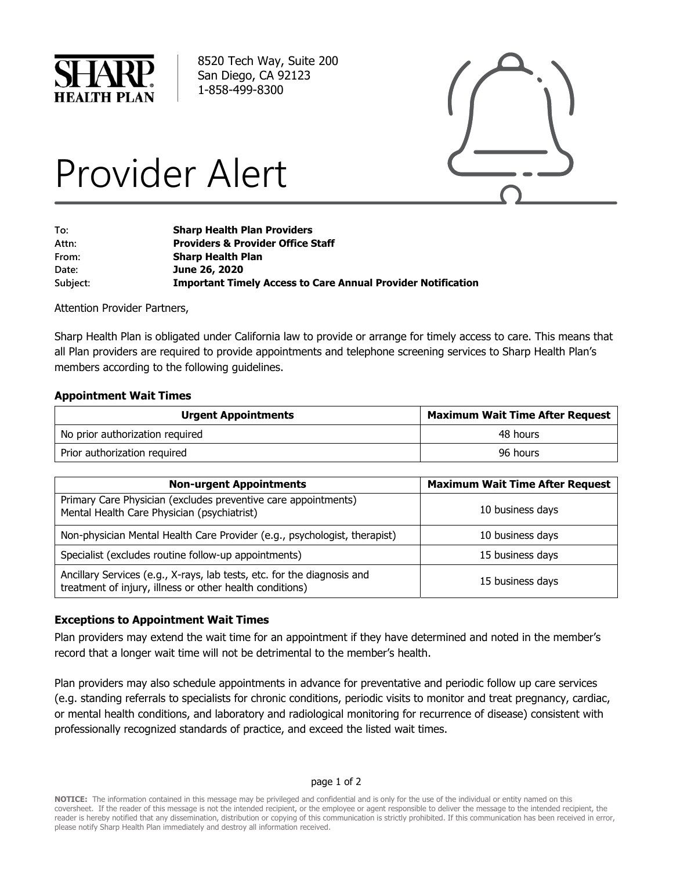

8520 Tech Way, Suite 200 San Diego, CA 92123 1-858-499-8300



# Provider Alert

| To:      | <b>Sharp Health Plan Providers</b>                                  |
|----------|---------------------------------------------------------------------|
| Attn:    | <b>Providers &amp; Provider Office Staff</b>                        |
| From:    | <b>Sharp Health Plan</b>                                            |
| Date:    | June 26, 2020                                                       |
| Subject: | <b>Important Timely Access to Care Annual Provider Notification</b> |

Attention Provider Partners,

Sharp Health Plan is obligated under California law to provide or arrange for timely access to care. This means that all Plan providers are required to provide appointments and telephone screening services to Sharp Health Plan's members according to the following guidelines.

## **Appointment Wait Times**

| <b>Urgent Appointments</b>      | <b>Maximum Wait Time After Request</b> |
|---------------------------------|----------------------------------------|
| No prior authorization required | 48 hours                               |
| Prior authorization required    | 96 hours                               |

| <b>Non-urgent Appointments</b>                                                                                                      | <b>Maximum Wait Time After Request</b> |
|-------------------------------------------------------------------------------------------------------------------------------------|----------------------------------------|
| Primary Care Physician (excludes preventive care appointments)<br>Mental Health Care Physician (psychiatrist)                       | 10 business days                       |
| Non-physician Mental Health Care Provider (e.g., psychologist, therapist)                                                           | 10 business days                       |
| Specialist (excludes routine follow-up appointments)                                                                                | 15 business days                       |
| Ancillary Services (e.g., X-rays, lab tests, etc. for the diagnosis and<br>treatment of injury, illness or other health conditions) | 15 business days                       |

## **Exceptions to Appointment Wait Times**

Plan providers may extend the wait time for an appointment if they have determined and noted in the member's record that a longer wait time will not be detrimental to the member's health.

Plan providers may also schedule appointments in advance for preventative and periodic follow up care services (e.g. standing referrals to specialists for chronic conditions, periodic visits to monitor and treat pregnancy, cardiac, or mental health conditions, and laboratory and radiological monitoring for recurrence of disease) consistent with professionally recognized standards of practice, and exceed the listed wait times.

#### page 1 of 2

**NOTICE:** The information contained in this message may be privileged and confidential and is only for the use of the individual or entity named on this coversheet. If the reader of this message is not the intended recipient, or the employee or agent responsible to deliver the message to the intended recipient, the reader is hereby notified that any dissemination, distribution or copying of this communication is strictly prohibited. If this communication has been received in error, please notify Sharp Health Plan immediately and destroy all information received.